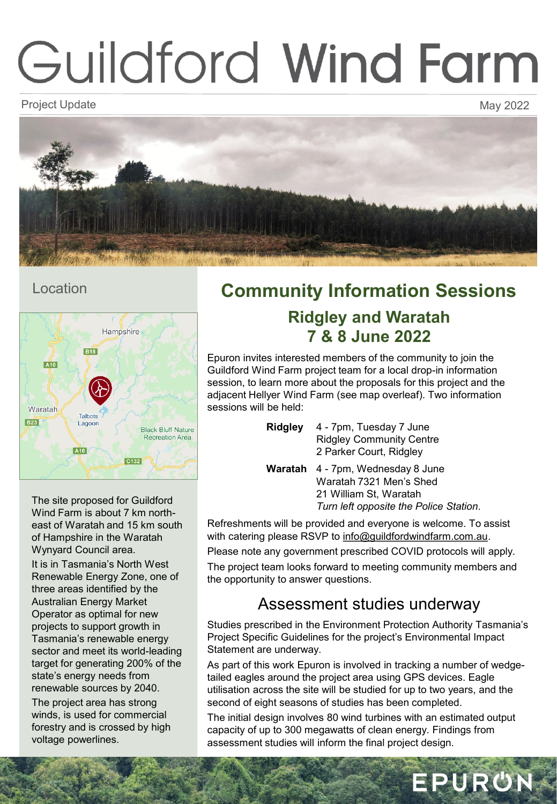# Guildford Wind Farm

Project Update May 2022 - And the May 2022 - And the May 2022 - And the May 2022



### Location



**Community Information Sessions Ridgley and Waratah 7 & 8 June 2022**

Epuron invites interested members of the community to join the Guildford Wind Farm project team for a local drop-in information session, to learn more about the proposals for this project and the adjacent Hellyer Wind Farm (see map overleaf). Two information sessions will be held:

| <b>Ridgley</b> | 4 - 7pm, Tuesday 7 June                  |
|----------------|------------------------------------------|
|                | <b>Ridgley Community Centre</b>          |
|                | 2 Parker Court, Ridgley                  |
|                | <b>Waratah</b> 4 - 7pm, Wednesday 8 June |
|                | Waratah 7321 Men's Shed                  |

21 William St, Waratah *Turn left opposite the Police Station*.

Refreshments will be provided and everyone is welcome. To assist with catering please RSVP to [info@guildfordwindfarm.com.au](mailto:info@guildfordwindfarm.com.au).

Please note any government prescribed COVID protocols will apply.

The project team looks forward to meeting community members and the opportunity to answer questions.

## Assessment studies underway

Studies prescribed in the Environment Protection Authority Tasmania's Project Specific Guidelines for the project's Environmental Impact Statement are underway.

As part of this work Epuron is involved in tracking a number of wedgetailed eagles around the project area using GPS devices. Eagle utilisation across the site will be studied for up to two years, and the second of eight seasons of studies has been completed.

The initial design involves 80 wind turbines with an estimated output capacity of up to 300 megawatts of clean energy. Findings from assessment studies will inform the final project design.

EPURON

The site proposed for Guildford Wind Farm is about 7 km northeast of Waratah and 15 km south of Hampshire in the Waratah Wynyard Council area.

It is in Tasmania's North West Renewable Energy Zone, one of three areas identified by the Australian Energy Market Operator as optimal for new projects to support growth in Tasmania's renewable energy sector and meet its world-leading target for generating 200% of the state's energy needs from renewable sources by 2040. The project area has strong winds, is used for commercial forestry and is crossed by high voltage powerlines.